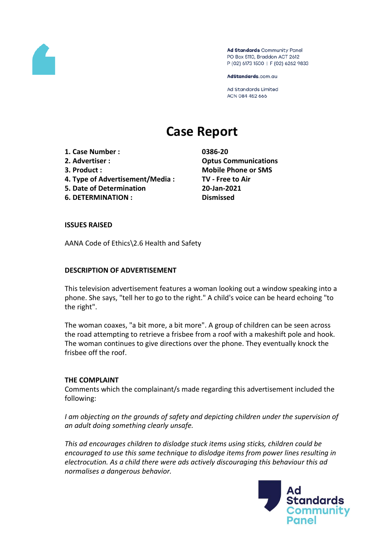

Ad Standards Community Panel PO Box 5110, Braddon ACT 2612 P (02) 6173 1500 | F (02) 6262 9833

AdStandards.com.au

Ad Standards Limited ACN 084 452 666

# **Case Report**

- **1. Case Number : 0386-20**
- 
- 
- **4. Type of Advertisement/Media : TV - Free to Air**
- **5. Date of Determination 20-Jan-2021**
- **6. DETERMINATION : Dismissed**

**2. Advertiser : Optus Communications 3. Product : Mobile Phone or SMS**

## **ISSUES RAISED**

AANA Code of Ethics\2.6 Health and Safety

## **DESCRIPTION OF ADVERTISEMENT**

This television advertisement features a woman looking out a window speaking into a phone. She says, "tell her to go to the right." A child's voice can be heard echoing "to the right".

The woman coaxes, "a bit more, a bit more". A group of children can be seen across the road attempting to retrieve a frisbee from a roof with a makeshift pole and hook. The woman continues to give directions over the phone. They eventually knock the frisbee off the roof.

## **THE COMPLAINT**

Comments which the complainant/s made regarding this advertisement included the following:

*I am objecting on the grounds of safety and depicting children under the supervision of an adult doing something clearly unsafe.*

*This ad encourages children to dislodge stuck items using sticks, children could be encouraged to use this same technique to dislodge items from power lines resulting in electrocution. As a child there were ads actively discouraging this behaviour this ad normalises a dangerous behavior.*

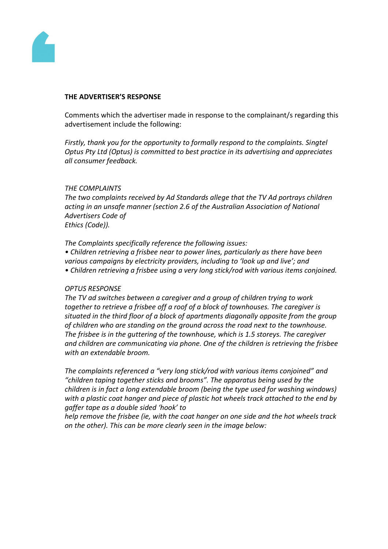

#### **THE ADVERTISER'S RESPONSE**

Comments which the advertiser made in response to the complainant/s regarding this advertisement include the following:

*Firstly, thank you for the opportunity to formally respond to the complaints. Singtel Optus Pty Ltd (Optus) is committed to best practice in its advertising and appreciates all consumer feedback.*

### *THE COMPLAINTS*

*The two complaints received by Ad Standards allege that the TV Ad portrays children acting in an unsafe manner (section 2.6 of the Australian Association of National Advertisers Code of*

*Ethics (Code)).*

*The Complaints specifically reference the following issues:*

*• Children retrieving a frisbee near to power lines, particularly as there have been various campaigns by electricity providers, including to 'look up and live'; and • Children retrieving a frisbee using a very long stick/rod with various items conjoined.*

#### *OPTUS RESPONSE*

*The TV ad switches between a caregiver and a group of children trying to work together to retrieve a frisbee off a roof of a block of townhouses. The caregiver is situated in the third floor of a block of apartments diagonally opposite from the group of children who are standing on the ground across the road next to the townhouse. The frisbee is in the guttering of the townhouse, which is 1.5 storeys. The caregiver and children are communicating via phone. One of the children is retrieving the frisbee with an extendable broom.*

*The complaints referenced a "very long stick/rod with various items conjoined" and "children taping together sticks and brooms". The apparatus being used by the children is in fact a long extendable broom (being the type used for washing windows) with a plastic coat hanger and piece of plastic hot wheels track attached to the end by gaffer tape as a double sided 'hook' to*

*help remove the frisbee (ie, with the coat hanger on one side and the hot wheels track on the other). This can be more clearly seen in the image below:*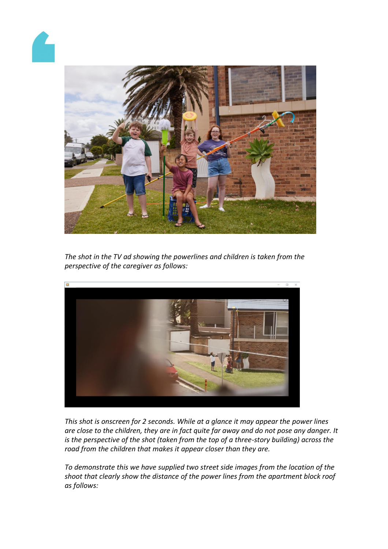



*The shot in the TV ad showing the powerlines and children is taken from the perspective of the caregiver as follows:*



*This shot is onscreen for 2 seconds. While at a glance it may appear the power lines are close to the children, they are in fact quite far away and do not pose any danger. It is the perspective of the shot (taken from the top of a three-story building) across the road from the children that makes it appear closer than they are.*

*To demonstrate this we have supplied two street side images from the location of the shoot that clearly show the distance of the power lines from the apartment block roof as follows:*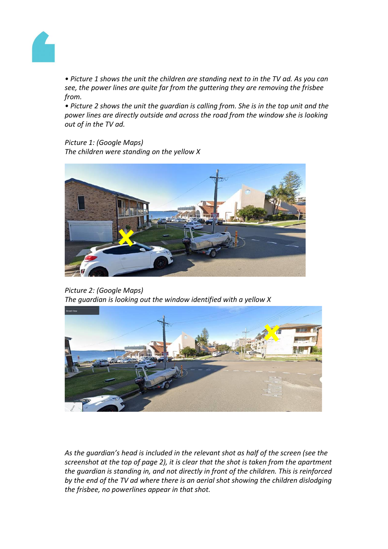

*• Picture 1 shows the unit the children are standing next to in the TV ad. As you can see, the power lines are quite far from the guttering they are removing the frisbee from.*

*• Picture 2 shows the unit the guardian is calling from. She is in the top unit and the power lines are directly outside and across the road from the window she is looking out of in the TV ad.*

*Picture 1: (Google Maps) The children were standing on the yellow X*



*Picture 2: (Google Maps) The guardian is looking out the window identified with a yellow X*



*As the guardian's head is included in the relevant shot as half of the screen (see the screenshot at the top of page 2), it is clear that the shot is taken from the apartment the guardian is standing in, and not directly in front of the children. This is reinforced by the end of the TV ad where there is an aerial shot showing the children dislodging the frisbee, no powerlines appear in that shot.*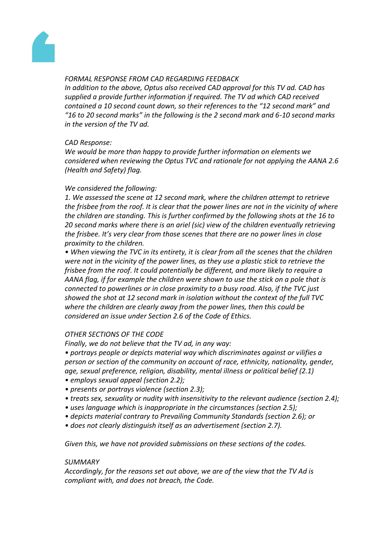

# *FORMAL RESPONSE FROM CAD REGARDING FEEDBACK*

*In addition to the above, Optus also received CAD approval for this TV ad. CAD has supplied a provide further information if required. The TV ad which CAD received contained a 10 second count down, so their references to the "12 second mark" and "16 to 20 second marks" in the following is the 2 second mark and 6-10 second marks in the version of the TV ad.*

# *CAD Response:*

*We would be more than happy to provide further information on elements we considered when reviewing the Optus TVC and rationale for not applying the AANA 2.6 (Health and Safety) flag.*

# *We considered the following:*

*1. We assessed the scene at 12 second mark, where the children attempt to retrieve the frisbee from the roof. It is clear that the power lines are not in the vicinity of where the children are standing. This is further confirmed by the following shots at the 16 to 20 second marks where there is an ariel (sic) view of the children eventually retrieving the frisbee. It's very clear from those scenes that there are no power lines in close proximity to the children.*

*• When viewing the TVC in its entirety, it is clear from all the scenes that the children were not in the vicinity of the power lines, as they use a plastic stick to retrieve the frisbee from the roof. It could potentially be different, and more likely to require a AANA flag, if for example the children were shown to use the stick on a pole that is connected to powerlines or in close proximity to a busy road. Also, if the TVC just showed the shot at 12 second mark in isolation without the context of the full TVC where the children are clearly away from the power lines, then this could be considered an issue under Section 2.6 of the Code of Ethics.*

# *OTHER SECTIONS OF THE CODE*

*Finally, we do not believe that the TV ad, in any way:*

*• portrays people or depicts material way which discriminates against or vilifies a person or section of the community on account of race, ethnicity, nationality, gender, age, sexual preference, religion, disability, mental illness or political belief (2.1)*

- *employs sexual appeal (section 2.2);*
- *presents or portrays violence (section 2.3);*
- *treats sex, sexuality or nudity with insensitivity to the relevant audience (section 2.4);*
- *uses language which is inappropriate in the circumstances (section 2.5);*
- *depicts material contrary to Prevailing Community Standards (section 2.6); or*
- *does not clearly distinguish itself as an advertisement (section 2.7).*

*Given this, we have not provided submissions on these sections of the codes.*

## *SUMMARY*

*Accordingly, for the reasons set out above, we are of the view that the TV Ad is compliant with, and does not breach, the Code.*